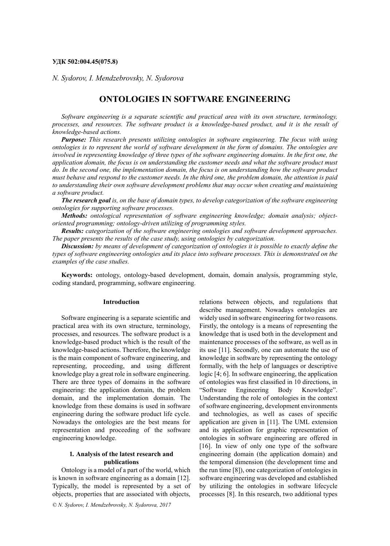#### **УДК 502:004.45(075.8)**

*N. Sydorov, I. Mendzebrovsky, N. Sydorova*

# **ONTOLOGIES IN SOFTWARE ENGINEERING**

*Software engineering is a separate scientific and practical area with its own structure, terminology, processes, and resources. The software product is a knowledge-based product, and it is the result of knowledge-based actions.* 

*Purpose: This research presents utilizing ontologies in software engineering. The focus with using ontologies is to represent the world of software development in the form of domains. The ontologies are involved in representing knowledge of three types of the software engineering domains. In the first one, the application domain, the focus is on understanding the customer needs and what the software product must do. In the second one, the implementation domain, the focus is on understanding how the software product must behave and respond to the customer needs. In the third one, the problem domain, the attention is paid to understanding their own software development problems that may occur when creating and maintaining a software product.* 

*The research goal is, on the base of domain types, to develop categorization of the software engineering ontologies for supporting software processes.* 

*Methods: ontological representation of software engineering knowledge; domain analysis; objectoriented programming; ontology-driven utilizing of programming styles.* 

*Results: categorization of the software engineering ontologies and software development approaches. The paper presents the results of the case study, using ontologies by categorization.* 

*Discussion: by means of development of categorization of ontologies it is possible to exactly define the types of software engineering ontologies and its place into software processes. This is demonstrated on the examples of the case studies.*

**Keywords:** ontology, ontology-based development, domain, domain analysis, programming style, coding standard, programming, software engineering.

#### **Introduction**

Software engineering is a separate scientific and practical area with its own structure, terminology, processes, and resources. The software product is a knowledge-based product which is the result of the knowledge-based actions. Therefore, the knowledge is the main component of software engineering, and representing, proceeding, and using different knowledge play a great role in software engineering. There are three types of domains in the software engineering: the application domain, the problem domain, and the implementation domain. The knowledge from these domains is used in software engineering during the software product life cycle. Nowadays the ontologies are the best means for representation and proceeding of the software engineering knowledge.

## **1***.* **Analysis of the latest research and publications**

Ontology is a model of a part of the world, which is known in software engineering as a domain [12]. Typically, the model is represented by a set of objects, properties that are associated with objects,

*© N. Sydorov, I. Mendzebrovsky, N. Sydorova, 2017*

relations between objects, and regulations that describe management. Nowadays ontologies are widely used in software engineering for two reasons. Firstly, the ontology is a means of representing the knowledge that is used both in the development and maintenance processes of the software, as well as in its use [11]. Secondly, one can automate the use of knowledge in software by representing the ontology formally, with the help of languages or descriptive logic [4; 6]. In software engineering, the application of ontologies was first classified in 10 directions, in "Software Engineering Body Knowledge". Understanding the role of ontologies in the context of software engineering, development environments and technologies, as well as cases of specific application are given in [11]. The UML extension and its application for graphic representation of ontologies in software engineering are offered in [16]. In view of only one type of the software engineering domain (the application domain) and the temporal dimension (the development time and the run time [8]), one categorization of ontologies in software engineering was developed and established by utilizing the ontologies in software lifecycle processes [8]. In this research, two additional types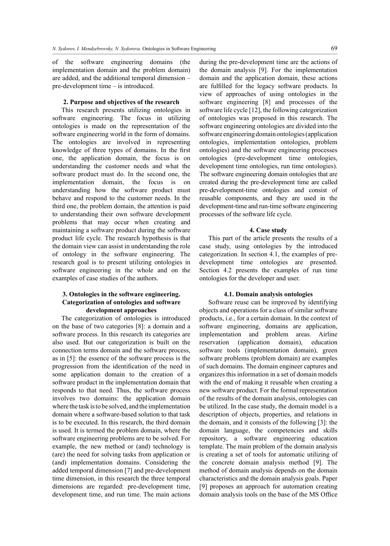of the software engineering domains (the implementation domain and the problem domain) are added, and the additional temporal dimension – pre-development time – is introduced.

### **2. Purpose and objectives of the research**

This research presents utilizing ontologies in software engineering. The focus in utilizing ontologies is made on the representation of the software engineering world in the form of domains. The ontologies are involved in representing knowledge of three types of domains. In the first one, the application domain, the focus is on understanding the customer needs and what the software product must do. In the second one, the implementation domain, the focus is on understanding how the software product must behave and respond to the customer needs. In the third one, the problem domain, the attention is paid to understanding their own software development problems that may occur when creating and maintaining a software product during the software product life cycle. The research hypothesis is that the domain view can assist in understanding the role of ontology in the software engineering. The research goal is to present utilizing ontologies in software engineering in the whole and on the examples of case studies of the authors.

### **3. Ontologies in the software engineering. Categorization of ontologies and software development approaches**

The categorization of ontologies is introduced on the base of two categories [8]: a domain and a software process. In this research its categories are also used. But our categorization is built on the connection terms domain and the software process, as in [5]: the essence of the software process is the progression from the identification of the need in some application domain to the creation of a software product in the implementation domain that responds to that need. Thus, the software process involves two domains: the application domain where the task is to be solved, and the implementation domain where a software-based solution to that task is to be executed. In this research, the third domain is used. It is termed the problem domain, where the software engineering problems are to be solved. For example, the new method or (and) technology is (are) the need for solving tasks from application or (and) implementation domains. Considering the added temporal dimension [7] and pre-development time dimension, in this research the three temporal dimensions are regarded: pre-development time, development time, and run time. The main actions

during the pre-development time are the actions of the domain analysis [9]. For the implementation domain and the application domain, these actions are fulfilled for the legacy software products. In view of approaches of using ontologies in the software engineering [8] and processes of the software life cycle [12], the following categorization of ontologies was proposed in this research. The software engineering ontologies are divided into the software engineering domain ontologies (application ontologies, implementation ontologies, problem ontologies) and the software engineering processes ontologies (pre-development time ontologies, development time ontologies, run time ontologies). The software engineering domain ontologies that are created during the pre-development time are called pre-development-time ontologies and consist of reusable components, and they are used in the development-time and run-time software engineering processes of the software life cycle.

#### **4. Case study**

This part of the article presents the results of a case study, using ontologies by the introduced categorization. In section 4.1, the examples of predevelopment time ontologies are presented. Section 4.2 presents the examples of run time ontologies for the developer and user.

#### **4.1. Domain analysis ontologies**

Software reuse can be improved by identifying objects and operations for a class of similar software products, i.e., for a certain domain. In the context of software engineering, domains are application, implementation and problem areas. Airline reservation (application domain), education software tools (implementation domain), green software problems (problem domain) are examples of such domains. The domain engineer captures and organizes this information in a set of domain models with the end of making it reusable when creating a new software product. For the formal representation of the results of the domain analysis, ontologies can be utilized. In the case study, the domain model is a description of objects, properties, and relations in the domain, and it consists of the following [3]: the domain language, the competencies and skills repository, a software engineering education template. The main problem of the domain analysis is creating a set of tools for automatic utilizing of the concrete domain analysis method [9]. The method of domain analysis depends on the domain characteristics and the domain analysis goals. Paper [9] proposes an approach for automation creating domain analysis tools on the base of the MS Office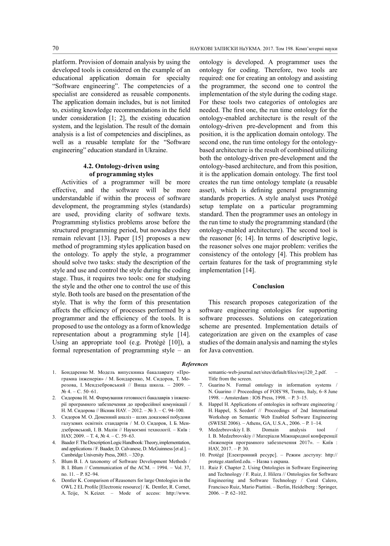platform. Provision of domain analysis by using the developed tools is considered on the example of an educational application domain for specialty "Software engineering". The competencies of a specialist are considered as reusable components. The application domain includes, but is not limited to, existing knowledge recommendations in the field under consideration [1; 2], the existing education system, and the legislation. The result of the domain analysis is a list of competencies and disciplines, as well as a reusable template for the "Software engineering" education standard in Ukraine.

# **4.2. Ontology-driven using of programming styles**

Activities of a programmer will be more effective, and the software will be more understandable if within the process of software development, the programming styles (standards) are used, providing clarity of software texts. Programming stylistics problems arose before the structured programming period, but nowadays they remain relevant [13]. Paper [15] proposes a new method of programming styles application based on the ontology. To apply the style, a programmer should solve two tasks: study the description of the style and use and control the style during the coding stage. Thus, it requires two tools: one for studying the style and the other one to control the use of this style. Both tools are based on the presentation of the style. That is why the form of this presentation affects the efficiency of processes performed by a programmer and the efficiency of the tools. It is proposed to use the ontology as a form of knowledge representation about a programming style [14]. Using an appropriate tool (e.g. Protégé [10]), a formal representation of programming style – an

ontology is developed. A programmer uses the ontology for coding. Therefore, two tools are required: one for creating an ontology and assisting the programmer, the second one to control the implementation of the style during the coding stage. For these tools two categories of ontologies are needed. The first one, the run time ontology for the ontology-enabled architecture is the result of the ontology-driven pre-development and from this position, it is the application domain ontology. The second one, the run time ontology for the ontologybased architecture is the result of combined utilizing both the ontology-driven pre-development and the ontology-based architecture, and from this position, it is the application domain ontology. The first tool creates the run time ontology template (a reusable asset), which is defining general programming standards properties. A style analyst uses Protégé setup template on a particular programming standard. Then the programmer uses an ontology in the run time to study the programming standard (the ontology-enabled architecture). The second tool is the reasoner [6; 14]. In terms of descriptive logic, the reasoner solves one major problem: verifies the consistency of the ontology [4]. This problem has certain features for the task of programming style implementation [14].

#### **Conclusion**

This research proposes categorization of the software engineering ontologies for supporting software processes. Solutions on categorization scheme are presented. Implementation details of categorization are given on the examples of case studies of the domain analysis and naming the styles for Java convention.

#### *References*

- 1. Бондаренко М. Модель випускника бакалаврату «Програмна інженерія» / М. Бондаренко, М. Сидоров, Т. Морозова, І. Мендзебровський // Вища школа. – 2009. –  $Ne 4 - C. 50-61$ .
- 2. Сидорова Н. М. Формування готовності бакалаврів з інженерії програмного забезпечення до професійної комунікації / Н. М. Сидорова // Вісник НАУ. – 2012. – № 3. – С. 94–100.
- 3. Сидоров М. О. Доменний аналіз шлях доказової побудови галузевих освітніх стандартів / М. О. Сидоров, І. Б. Мендзебровський, І. В. Малін // Наукоємні технології. – Київ : НАУ, 2009. – Т. 4, № 4. – С. 59–63.
- 4. Baader F. The Description Logic Handbook: Theory, implementation, and applications/ F. Baader, D. Calvanese, D. McGuinness [et al.]. – Cambridge University Press, 2003. – 320 р.
- 5. Blum B. I. A taxonomy of Software Development Methods / B. I. Blum // Communication of the ACM. – 1994. – Vol. 37, no. 11. – P. 82–94.
- 6. Dentler K. Comparison of Reasoners for large Ontologies in the OWL 2 EL Profile [Electronic resource] / K. Dentler, R. Cornet, A. Teije, N. Keizer. – Mode of access: http://www.

semantic-web-journal.net/sites/default/files/swj120\_2.pdf. Title from the screen.

- 7. Guarino N. Formal ontology in information systems / N. Guarino // Proceedings of FOIS'98, Trento, Italy, 6–8 June 1998. – Amsterdam : IOS Press, 1998. – Р. 3–15.
- 8. Happel H. Applications of ontologies in software engineering / H. Happel, S. Seedorf // Proceedings of 2nd International Workshop on Semantic Web Enabled Software Engineering (SWESE 2006). – Athens, GA, U.S.A., 2006. – Р. 1–14.
- 9. Medzebrovskiy I. B. Domain analysis tool / I. B. Medzebrovskiy // Матеріали Міжнародної конференції «Інженерія програмного забезпечення 2017». – Kиїв : НАУ, 2017. – Р. 30.
- 10. Protégé [Електронний ресурс]. Режим доступу: http:// protege.stanford.edu. – Назва з екрана.
- 11. Ruiz F. Сhapter 2. Using Ontologies in Software Engineering and Technology / F. Ruiz, J. Hilera // Ontologies for Software Engineering and Software Technology / Coral Calero, Francisco Ruiz, Mario Piattini. – Berlin, Heidelberg : Springer, 2006. – Р. 62–102.